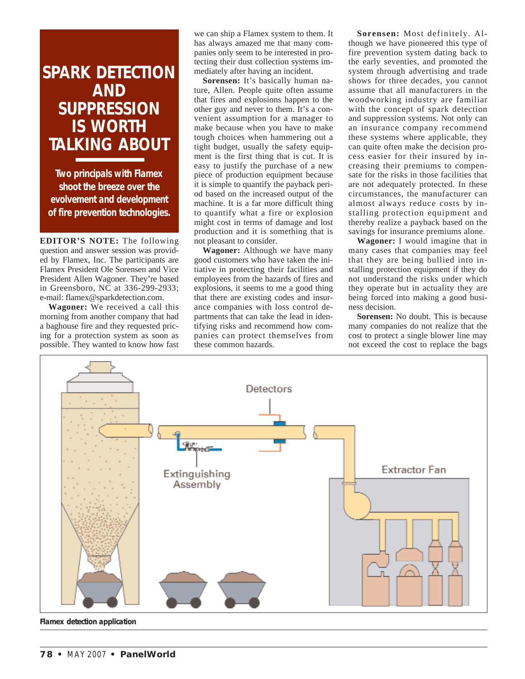## **SPARK DETECTION AND SUPPRESSION IS WORTH TALKING ABOUT**

**Two principals with Flamex shoot the breeze over the evolvement and development of fire prevention technologies.**

**EDITOR'S NOTE:** The following question and answer session was provided by Flamex, Inc. The participants are Flamex President Ole Sorensen and Vice President Allen Wagoner. They're based in Greensboro, NC at 336-299-2933; e-mail: flamex@sparkdetection.com.

**Wagoner:** We received a call this morning from another company that had a baghouse fire and they requested pricing for a protection system as soon as possible. They wanted to know how fast

we can ship a Flamex system to them. It has always amazed me that many companies only seem to be interested in protecting their dust collection systems immediately after having an incident.

Sorensen: It's basically human nature, Allen. People quite often assume that fires and explosions happen to the other guy and never to them. It's a convenient assumption for a manager to make because when you have to make tough choices when hammering out a tight budget, usually the safety equipment is the first thing that is cut. It is easy to justify the purchase of a new piece of production equipment because it is simple to quantify the payback period based on the increased output of the machine. It is a far more difficult thing to quantify what a fire or explosion might cost in terms of damage and lost production and it is something that is not pleasant to consider.

**Wagoner:** Although we have many good customers who have taken the initiative in protecting their facilities and employees from the hazards of fires and explosions, it seems to me a good thing that there are existing codes and insurance companies with loss control departments that can take the lead in identifying risks and recommend how companies can protect themselves from these common hazards.

**Sorensen:** Most definitely. Although we have pioneered this type of fire prevention system dating back to the early seventies, and promoted the system through advertising and trade shows for three decades, you cannot assume that all manufacturers in the woodworking industry are familiar with the concept of spark detection and suppression systems. Not only can an insurance company recommend these systems where applicable, they can quite often make the decision process easier for their insured by increasing their premiums to compensate for the risks in those facilities that are not adequately protected. In these circumstances, the manufacturer can almost always reduce costs by installing protection equipment and thereby realize a payback based on the savings for insurance premiums alone.

**Wagoner:** I would imagine that in many cases that companies may feel that they are being bullied into installing protection equipment if they do not understand the risks under which they operate but in actuality they are being forced into making a good business decision.

**Sorensen:** No doubt. This is because many companies do not realize that the cost to protect a single blower line may not exceed the cost to replace the bags



**Flamex detection application**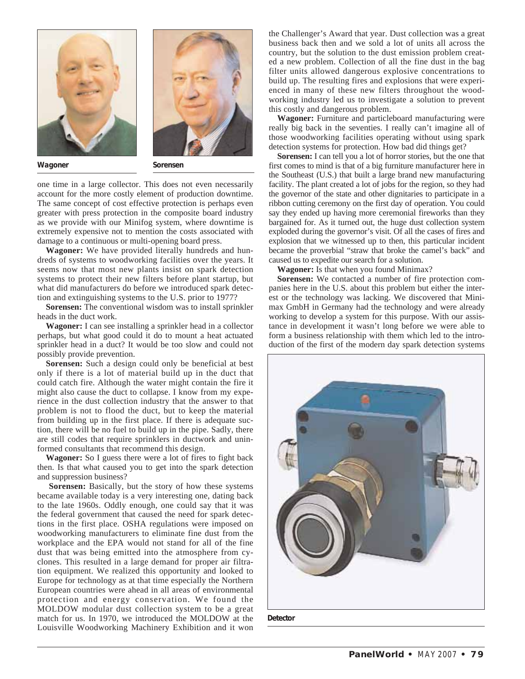



**Wagoner Sorensen**

one time in a large collector. This does not even necessarily account for the more costly element of production downtime. The same concept of cost effective protection is perhaps even greater with press protection in the composite board industry as we provide with our Minifog system, where downtime is extremely expensive not to mention the costs associated with damage to a continuous or multi-opening board press.

**Wagoner:** We have provided literally hundreds and hundreds of systems to woodworking facilities over the years. It seems now that most new plants insist on spark detection systems to protect their new filters before plant startup, but what did manufacturers do before we introduced spark detection and extinguishing systems to the U.S. prior to 1977?

**Sorensen:** The conventional wisdom was to install sprinkler heads in the duct work.

**Wagoner:** I can see installing a sprinkler head in a collector perhaps, but what good could it do to mount a heat actuated sprinkler head in a duct? It would be too slow and could not possibly provide prevention.

**Sorensen:** Such a design could only be beneficial at best only if there is a lot of material build up in the duct that could catch fire. Although the water might contain the fire it might also cause the duct to collapse. I know from my experience in the dust collection industry that the answer to that problem is not to flood the duct, but to keep the material from building up in the first place. If there is adequate suction, there will be no fuel to build up in the pipe. Sadly, there are still codes that require sprinklers in ductwork and uninformed consultants that recommend this design.

**Wagoner:** So I guess there were a lot of fires to fight back then. Is that what caused you to get into the spark detection and suppression business?

**Sorensen:** Basically, but the story of how these systems became available today is a very interesting one, dating back to the late 1960s. Oddly enough, one could say that it was the federal government that caused the need for spark detections in the first place. OSHA regulations were imposed on woodworking manufacturers to eliminate fine dust from the workplace and the EPA would not stand for all of the fine dust that was being emitted into the atmosphere from cyclones. This resulted in a large demand for proper air filtration equipment. We realized this opportunity and looked to Europe for technology as at that time especially the Northern European countries were ahead in all areas of environmental protection and energy conservation. We found the MOLDOW modular dust collection system to be a great match for us. In 1970, we introduced the MOLDOW at the Louisville Woodworking Machinery Exhibition and it won

the Challenger's Award that year. Dust collection was a great business back then and we sold a lot of units all across the country, but the solution to the dust emission problem created a new problem. Collection of all the fine dust in the bag filter units allowed dangerous explosive concentrations to build up. The resulting fires and explosions that were experienced in many of these new filters throughout the woodworking industry led us to investigate a solution to prevent this costly and dangerous problem.

**Wagoner:** Furniture and particleboard manufacturing were really big back in the seventies. I really can't imagine all of those woodworking facilities operating without using spark detection systems for protection. How bad did things get?

**Sorensen:** I can tell you a lot of horror stories, but the one that first comes to mind is that of a big furniture manufacturer here in the Southeast (U.S.) that built a large brand new manufacturing facility. The plant created a lot of jobs for the region, so they had the governor of the state and other dignitaries to participate in a ribbon cutting ceremony on the first day of operation. You could say they ended up having more ceremonial fireworks than they bargained for. As it turned out, the huge dust collection system exploded during the governor's visit. Of all the cases of fires and explosion that we witnessed up to then, this particular incident became the proverbial "straw that broke the camel's back" and caused us to expedite our search for a solution.

**Wagoner:** Is that when you found Minimax?

**Sorensen:** We contacted a number of fire protection companies here in the U.S. about this problem but either the interest or the technology was lacking. We discovered that Minimax GmbH in Germany had the technology and were already working to develop a system for this purpose. With our assistance in development it wasn't long before we were able to form a business relationship with them which led to the introduction of the first of the modern day spark detection systems



**Detector**